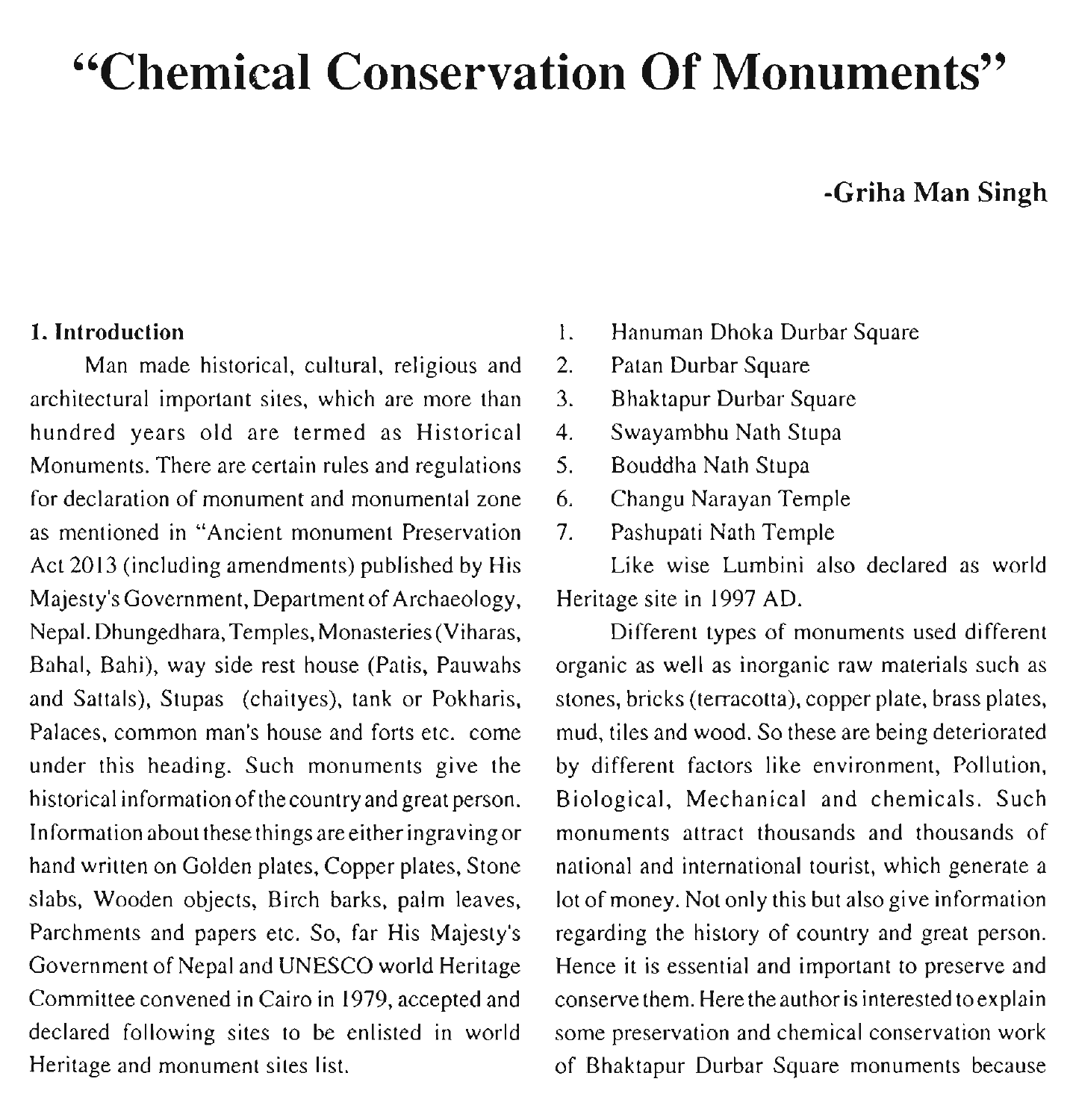# **"Chemical Conservation Of Monuments"**

# **-Griha Man Singh**

#### **1. Introduction**

Man made historical, cultural, religious and architectural important sites, which are more than hundred years old are termed as Historical Monuments. There are certain rules and regulations for declaration of monument and monumental zone as mentioned in "Ancient monument Preservation Act 2013 (including amendments) published by His Majesty's Government, Department of Archaeology, Nepal. Dhungedhara,Temples, Monasteries (Viharas, Bahal, Bahi), way side rest house (Patis, Pauwahs and Sattals), Stupas (chaityes), tank or Pokharis, Palaces, common man's house and forts etc. come under this heading. Such monuments give the historical information of thecountry and great person. Information about these things are either ingravingor hand written on Golden plates, Copper plates, Stone slabs, Wooden objects, Birch barks, palm leaves, Parchments and papers etc. So, far His Majesty's Government of Nepal and UNESCO world Heritage Committee convened in Cairo in 1979, accepted and declared following sites to be enlisted in world Heritage and monument sites list.

- 1. Hanuman Dhoka Durbar Square
- 2. Patan Durbar Square
- **3.** Bhaktapur Durbar Square
- 4. Swayambhu Nath Stupa
- 5. Bouddha Nath Stupa
- **6.** Changu Narayan Temple
- 7. Pashupati Nath Temple

Like wise Lumbini also declared as world Heritage site in 1997 AD.

Different types of monuments used different organic as well as inorganic raw materials such as stones, bricks (terracotta), copper plate, brass plates, mud, tiles and wood. So these are being deteriorated by different factors like environment, Pollution, Biological, Mechanical and chemicals. Such monuments attract thousands and thousands of national and international tourist, which generate a lot of money. Not only this but also give information regarding the history of country and great person. Hence it is essential and important to preserve and conserve them. Here theauthor is interested toexplain some preservation and chemical conservation work of Bhaktapur Durbar Square monuments because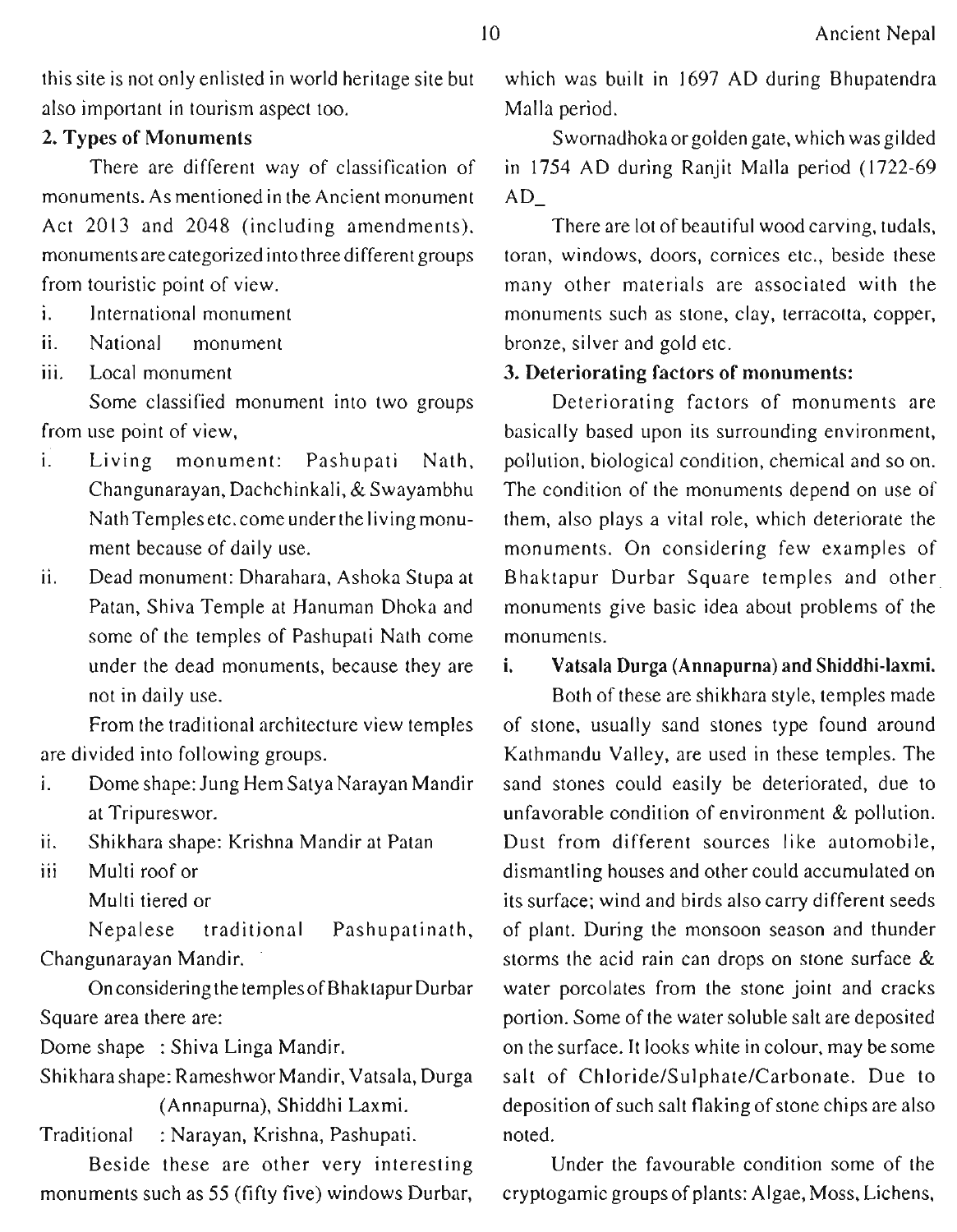this site is not only enlisted in world heritage site but also important in tourism aspect too.

#### **2. Types of Monuments**

There are different way of classification of monuments. As mentioned in the Ancient monument Act 2013 and 2048 (including amendments). monuments arecategorized into three different groups from touristic point of view.

- i. International monument
- ii. National monument<br>iii. Local monument
- 

Some classified monument into two groups from use point of view,

- i. Living monument: Pashupati Nath, Changunarayan, Dachchinkali, & Swayambhu Nath Temples etc. come under the living monument because of daily use.
- ii. Dead monument: Dharahara, Ashoka Stupa at Patan, Shiva Temple at Hanuman Dhoka and some of the temples of Pashupati Nath come under the dead monuments, because they are not in daily use.

From the traditional architecture view temples are divided into following groups.

- i. Dome shape: Jung Hem Satya Narayan Mandir at Tripureswor.
- ii. Shikhara shape: Krishna Mandir at Patan
- iii Multi roof or
	- Multi tiered or

Nepalese traditional Pashupatinath, Changunarayan Mandir.

On considering the temples of BhaktapurDurbar Square area there are:

Dome shape : Shiva Linga Mandir.

Shikhara shape: Rameshwor Mandir, Vatsala, Durga (Annapurna), Shiddhi Laxmi.

Traditional : Narayan, Krishna, Pashupati.

Beside these are other very interesting monuments such as 55 (fifty five) windows Durbar,

which was built in 1697 AD during Bhupatendra Malla period.

Swornadhokaorgolden gate, which wasgilded in 1754 AD during Ranjit Malla period (1722-69  $AD_$ 

There are lot of beautiful wood carving, tudals, toran, windows, doors, cornices etc., beside these many other materials are associated with the monuments such as stone, clay, terracotta, copper, bronze, silver and gold etc.

## **3. Deteriorating factors of monuments:**

Deteriorating factors of monuments are basically based upon its surrounding environment, pollution, biological condition, chemical and so on. The condition of the monuments depend on use of them, also plays a vital role, which deteriorate the monuments. On considering few examples of Bhaktapur Durbar Square temples and other monuments give basic idea about problems of the monuments.

#### **i. Vatsala Durga (Annapurna) and Shiddhi-laxmi.**

Both of these are shikhara style, temples made of stone, usually sand stones type found around Kathmandu Valley, are used in these temples. The sand stones could easily be deteriorated, due to unfavorable condition of environment & pollution. Dust from different sources like automobile, dismantling houses and other could accumulated on its surface; wind and birds also carry different seeds of plant. During the monsoon season and thunder storms the acid rain can drops on stone surface & water porcolates from the stone joint and cracks portion. Some of the water soluble salt are deposited on the surface. It looks white in colour, may be some salt of **ChIoride/Sulphate/Carbonate.** Due to deposition of such salt flaking of stone chips are also noted.

Under the favourable condition some of the cryptogamic groups of plants: Algae, Moss, Lichens,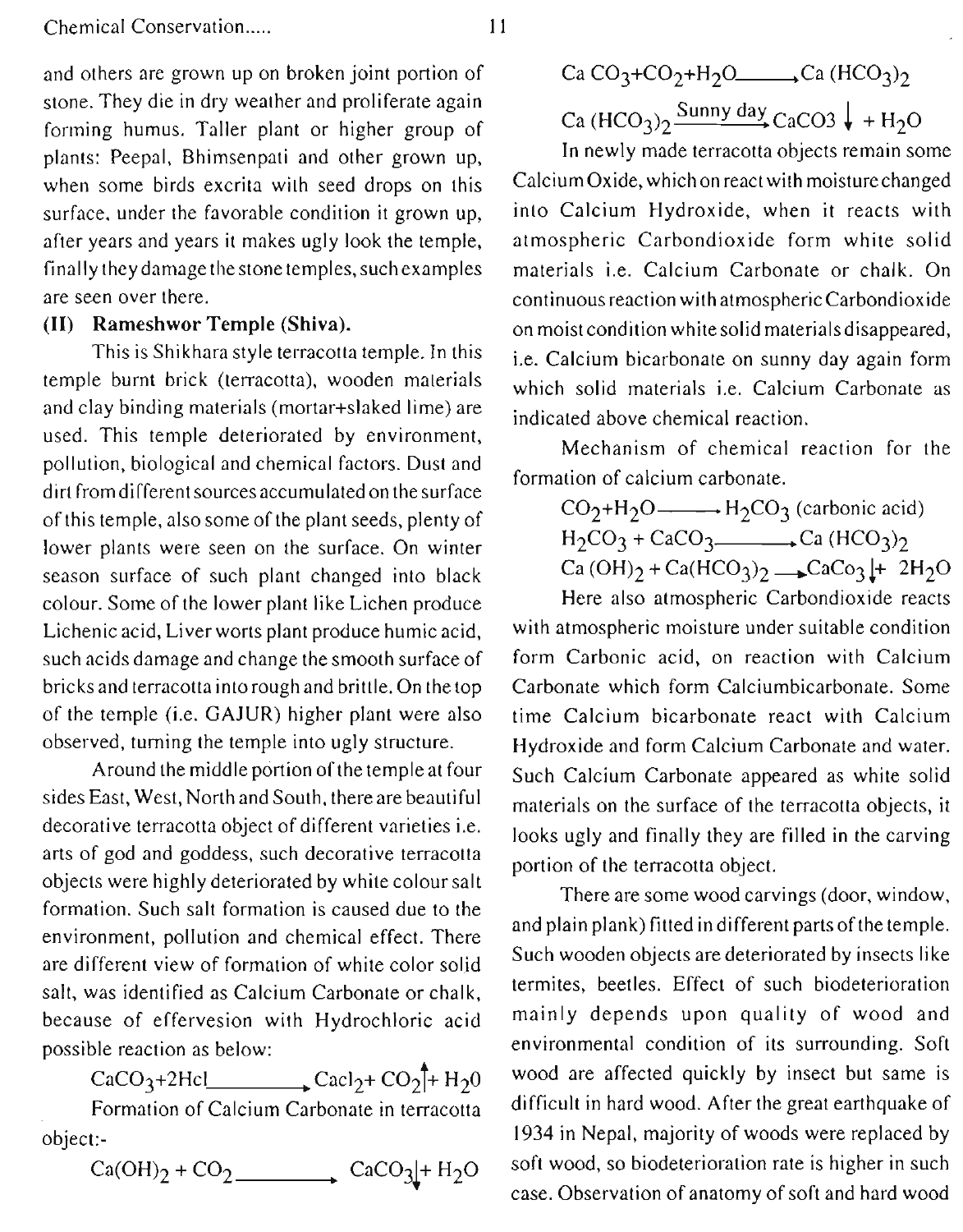and others are grown up on broken joint portion of stone. They die in dry weather and proliferate again forming humus. Taller plant or higher group of plants: Peepal, Bhimsenpati and other grown up, when some birds excrita with seed drops on this surface. under the favorable condition it grown up, after years and years it makes ugly look the temple, finally they damage the stone temples, such examples are seen over there.

## **(11)** Rameshwor Temple **(Shiva).**

This is Shikhara style terracotta temple. In this temple burnt brick (terracotta), wooden materials and clay binding materials (mortar+slaked lime) are used. This temple deteriorated by environment, pollution, biological and chemical factors. Dust and dirt fromdifferent sourcesaccumulated on thesurface of this temple, also some of the plant seeds, plenty of lower plants were seen on the surface. On winter season surface of such plant changed into black colour. Some of the lower plant like Lichen produce Lichenic acid, Liver worts plant produce humic acid, such acids damage and change the smooth surface of bricks and terracotta into rough and brittle. On the top of the temple (i.e. GAJUR) higher plant were also observed, turning the temple into ugly structure.

Around the middle portion of the temple at four sides East, West, North and South, there are beautiful materials on the surface of the terracotta objects, it<br>decorative terracotta object of different varieties i.e. decorative terracotta object of different varieties i.e. looks ugly and finally they are filled in the carving arts of god and goddess, such decorative terracotta arts of god and goddess, such decorative terracotta<br>objects were highly deteriorated by white colour salt<br>formation. Such salt formation is caused due to the<br>and plain plank) fitted in different parts of the temple. environment, pollution and chemical effect. There and plain plank) futed in different parts of the temple.<br>Such wooden objects are deteriorated by insects like are different view of formation of white color solid Such wooden objects are deteriorated by insects like<br>
solutions of the color solid section of the settles. Bettes, Effect of such biodeterioration salt, was identified as Calcium Carbonate or chalk, termites, beetles. Effect of such biodeterioration<br>because of effervesion with Hydrochloric acid mainly depends upon quality of wood and because of effervesion with Hydrochloric acid

CaCO<sub>3</sub>+2Hcl Cacl<sub>2</sub>+ Co<sub>2</sub><sup>+</sup> H<sub>2</sub>0<br>Formation of Calcium Carbonate in terracotta

 $Ca(OH)_2 + CO_2$  .  $CaCO_3 + H_2O$ 

\n
$$
\text{Ca CO}_3 + \text{CO}_2 + \text{H}_2\text{O} \longrightarrow \text{Ca (HCO}_3)_2
$$
\n

\n\n $\text{Ca (HCO}_3)_2 \longrightarrow \text{Sunny day} \quad \text{CaCO3} \downarrow + \text{H}_2\text{O}$ \n

In newly made terracotta objects remain some Calcium Oxide, whichon react with moisturechanged into Calcium Hydroxide, when it reacts with atmospheric Carbondioxide form white solid materials i.e. Calcium Carbonate or chalk. On continuous reaction with atmospheric Carbondioxide on moist condition white solid materialsdisappeared, i.e. Calcium bicarbonate on sunny day again form which solid materials i.e. Calcium Carbonate as indicated above chemical reaction.

Mechanism of chemical reaction for the formation of calcium carbonate.

 $CO_2+H_2O$   $\longrightarrow H_2CO_3$  (carbonic acid)

 $H_2CO_3 + CaCO_3$ . Ca (HCO<sub>3</sub>)<sub>2</sub>

 $Ca(OH)_{2} + Ca(HCO_{3})_{2}$   $\rightarrow$  CaCo<sub>3</sub> |+ 2H<sub>2</sub>O

Here also atmospheric Carbondioxide reacts with atmospheric moisture under suitable condition form Carbonic acid, on reaction with Calcium Carbonate which form Calciumbicarbonate. Some time Calcium bicarbonate react with Calcium Hydroxide and form Calcium Carbonate and water. Such Calcium Carbonate appeared as white solid

possible reaction as below:<br>  $C_2CO_2+2He$ <br>  $C_3CO_3+2He$ <br>  $C_4CO_4+2He$ <br>  $C_4CO_4+2He$ <br>  $C_4CO_4+2He$ <br>  $C_4CO_4+2He$ <br>  $C_4CO_4+2He$ <br>  $C_4CO_4+2He$ difficult in hard wood. After the great earthquake of object:-<br>C<sub>2</sub>(OH)<sub>2</sub> + CO<sub>2</sub> (C<sub>2</sub>CO<sub>2</sub>) + H<sub>2</sub>O (Soft wood, so biodeterioration rate is higher in such case. Observation of anatomy of soft and hard wood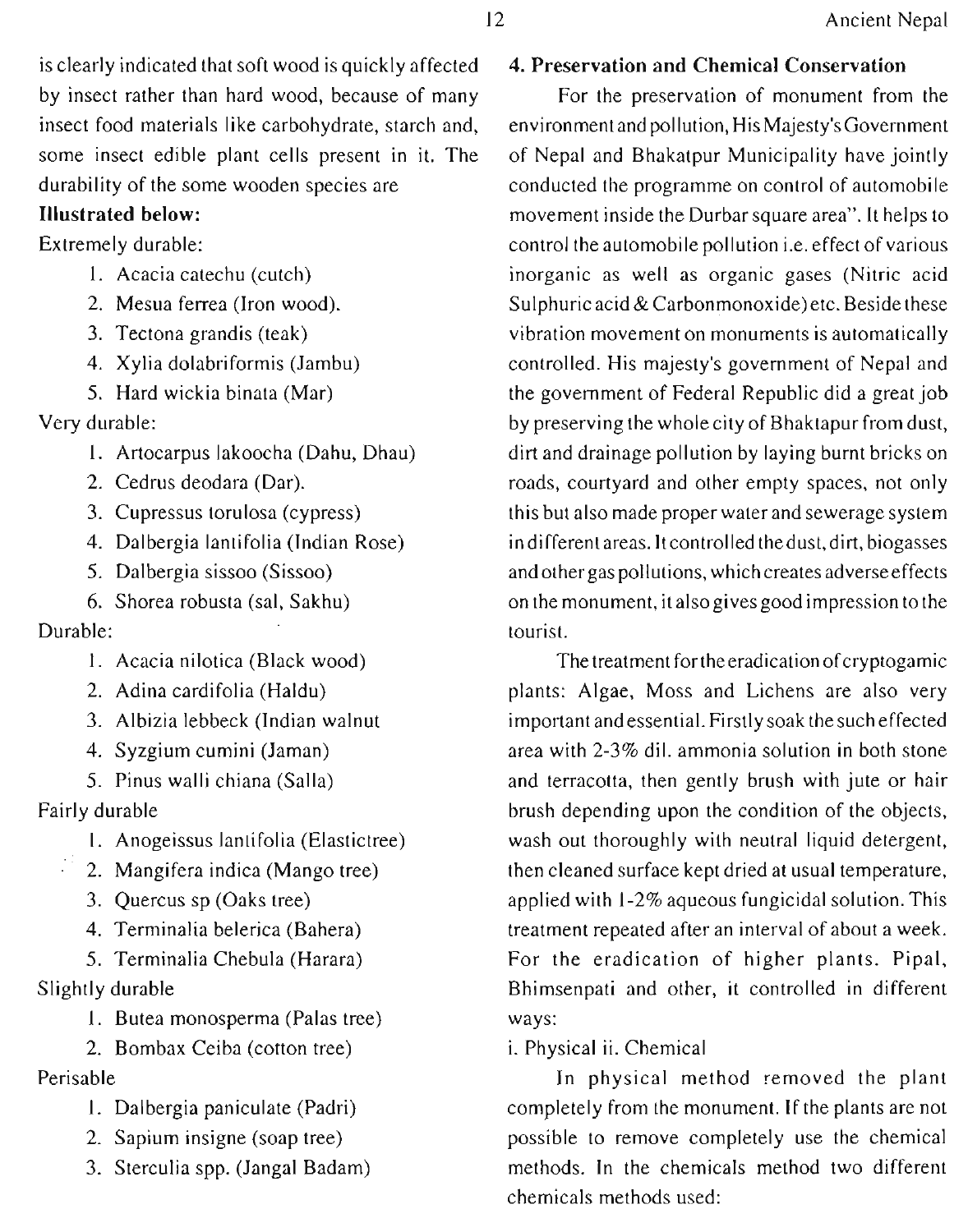is clearly indicated that soft wood is quickly affected by insect rather than hard wood, because of many insect food materials like carbohydrate, starch and, some insect edible plant cells present in it. The durability of the some wooden species are

# **Illustrated below:**

Extremely durable:

- 1. Acacia catechu (cutch)
- 2. Mesua ferrea (Iron wood).
- 3. Tectona grandis (teak)
- 4. Xylia dolabriformis (Jambu)
- 5. Hard wickia binata (Mar)

Very durable:

- 1. Artocarpus lakoocha (Dahu, Dhau)
- 2. Cedrus deodara (Dar).
- 3. Cupressus torulosa (cypress)
- 4. Dalbergia lantifolia (Indian Rose)
- 5. Dalbergia sissoo (Sissoo)
- 6. Shorea robusta (sal, Sakhu)

# Durable:

- 1. Acacia nilotica (Black wood)
- 2. Adina cardifolia (Haldu)
- **3.** Albizia lebbeck (Indian walnut
- 4. Syzgium cumini (Jaman)
- 5. Pinus walli chiana (Salla)

Fairly durable

- 1. Anogeissus lantifolia (Elastictree)
- 2. Mangifera indica (Mango tree)
- 3. Quercus sp (Oaks tree)
- 4. Terminalia belerica (Bahera)

5. Terminalia Chebula (Harara) Slightly durable

- 1. Butea monosperma (Palas tree)
- 2. Bombax Ceiba (cotton tree)

Perisable

- I. Dalbergia paniculate (Padri)
- 2. Sapium insigne (soap tree)
- 3. Sterculia spp. (Jangal Badam)

# **4. Preservation and Chemical Conservation**

For the preservation of monument from the environment and pollution, His Majesty'sGovernment of Nepal and Bhakatpur Municipality have jointly conducted the programme on control of automobile movement inside the Durbar square area". It helps to control the automobile pollution i.e. effect of various inorganic as well as organic gases (Nitric acid Sulphuric acid & Carbonmonoxide)etc. Beside these vibration movement on monuments is automatically controlled. His majesty's government of Nepal and the government of Federal Republic did a great job by preserving the wholecity of Bhaktapur from dust, dirt and drainage pollution by laying burnt bricks on roads, courtyard and other empty spaces, not only this but also made properwater and sewerage system in different areas. It controlled thedust, dirt, biogasses and other gas pollutions, which creates adverse effects on the monument, it alsogives good impression tothe tourist.

The treatment for the eradication of cryptogamic plants: Algae, Moss and Lichens are also very important and essential. Firstly soak the such effected area with 2-3% dil. ammonia solution in both stone and terracotta, then gently brush with jute or hair brush depending upon the condition of the objects, wash out thoroughly with neutral liquid detergent, then cleaned surface kept dried at usual temperature, applied with 1-2% aqueous fungicidal solution. This treatment repeated after an interval of about a week. For the eradication of higher plants. Pipal, Bhimsenpati and other, it controlled in different ways:

i. Physical ii. Chemical

In physical method removed the plant completely from the monument. If the plants are not possible to remove completely use the chemical methods. In the chemicals method two different chemicals methods used: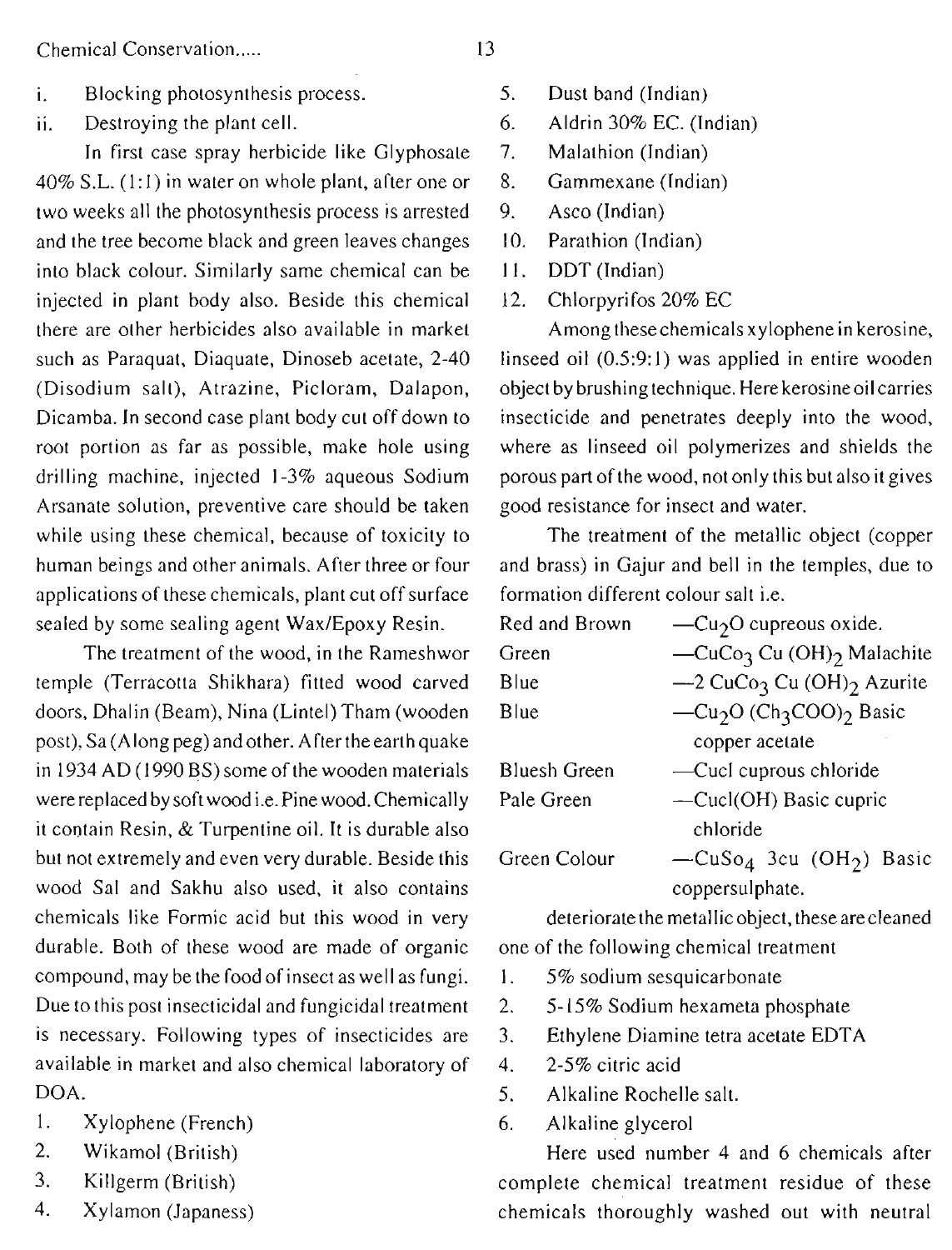Chemical Conservation.....

i. Blocking photosynthesis process.

ii. Destroying the plant cell.

In first case spray herbicide like Glyphosate  $40\%$  S.L. (1:1) in water on whole plant, after one or two weeks all the photosynthesis process is arrested and the tree become black and green leaves changes into black colour. Similarly same chemical can be injected in plant body also. Beside this chemical there are other herbicides also available in market such as Paraquat, Diaquate, Dinoseb acetate, 2-40 (Disodium salt), Atrazine, Picloram, Dalapon, Dicamba. In second case plant body cut off down to root portion as far as possible, make hole using drilling machine, injected 1-3% aqueous Sodium Arsanate solution, preventive care should be taken while using these chemical, because of toxicity to human beings and other animals. After three or four applications of these chemicals, plant cut off surface sealed by some sealing agent Wax/Epoxy Resin.

The treatment of the wood, in the Rameshwor temple (Terracotta Shikhara) fitted wood carved doors, Dhalin (Beam), Nina (Lintel) Tham (wooden post), Sa (Along peg) and other. After the earth quake in 1934 AD (1990 BS) some of the wooden materials were replaced by soft wood i.e. Pine wood. Chemically it contain Resin, & Turpentine oil. It is durable also but not extremely and even very durable. Beside this wood Sal and Sakhu also used, it also contains chemicals like Formic acid but this wood in very durable. Both of these wood are made of organic compound, may be the food of insect as well as fungi. Due to this post insecticidal and fungicidal treatment is necessary. Following types of insecticides are available in market and also chemical laboratory of DOA.

- 1. Xylophene (French)
- 2. Wikamol (British)
- **3.** Killgerm (British)
- 4. Xylamon (Japaness)
- 5. Dust band (Indian)
- 6. Aldrin 30% EC. (Indian)
- 7. Malathion (Indian)
- 8. Gammexane (Indian)
- 9. Asco (Indian)
- 10. Parathion (Indian)
- 11. DDT (Indian)
- 12. Chlorpyrifos 20% EC

Among thesechemicals xylophene in kerosine, linseed oil (0.5:9:1) was applied in entire wooden object by brushing technique. Herekerosineoil carries insecticide and penetrates deeply into the wood, where as linseed oil polymerizes and shields the porous part of the wood, not only this but also it gives good resistance for insect and water.

The treatment of the metallic object (copper and brass) in Gajur and bell in the temples, due to formation different colour salt i.e.

| Red and Brown       | $-Cu2O$ cupreous oxide.                                     |  |
|---------------------|-------------------------------------------------------------|--|
| Green               | -CuCo <sub>3</sub> Cu (OH) <sub>2</sub> Malachite           |  |
| Blue                | -2 CuCo3 Cu (OH)2 Azurite                                   |  |
| Blue                | -Cu <sub>2</sub> O (Ch <sub>3</sub> COO) <sub>2</sub> Basic |  |
|                     | copper acetate                                              |  |
| <b>Bluesh Green</b> | -Cucl cuprous chloride                                      |  |
| Pale Green          | -Cucl(OH) Basic cupric                                      |  |
|                     | chloride                                                    |  |
| Green Colour        | $-CuSo4$ 3cu (OH <sub>2</sub> ) Basic                       |  |
|                     | coppersulphate.                                             |  |

deteriorate the metallic object, these are cleaned one of the following chemical treatment

- 1. 5% sodium sesquicarbonate
- 2. 5-15% Sodium hexameta phosphate
- 3. Ethylene Diamine tetra acetate EDTA
- 4. 2-5% citric acid
- 5. Alkaline Rochelle salt.
- 6. Alkaline glycerol

Here used number 4 and 6 chemicals after complete chemical treatment residue of these chemicals thoroughly washed out with neutral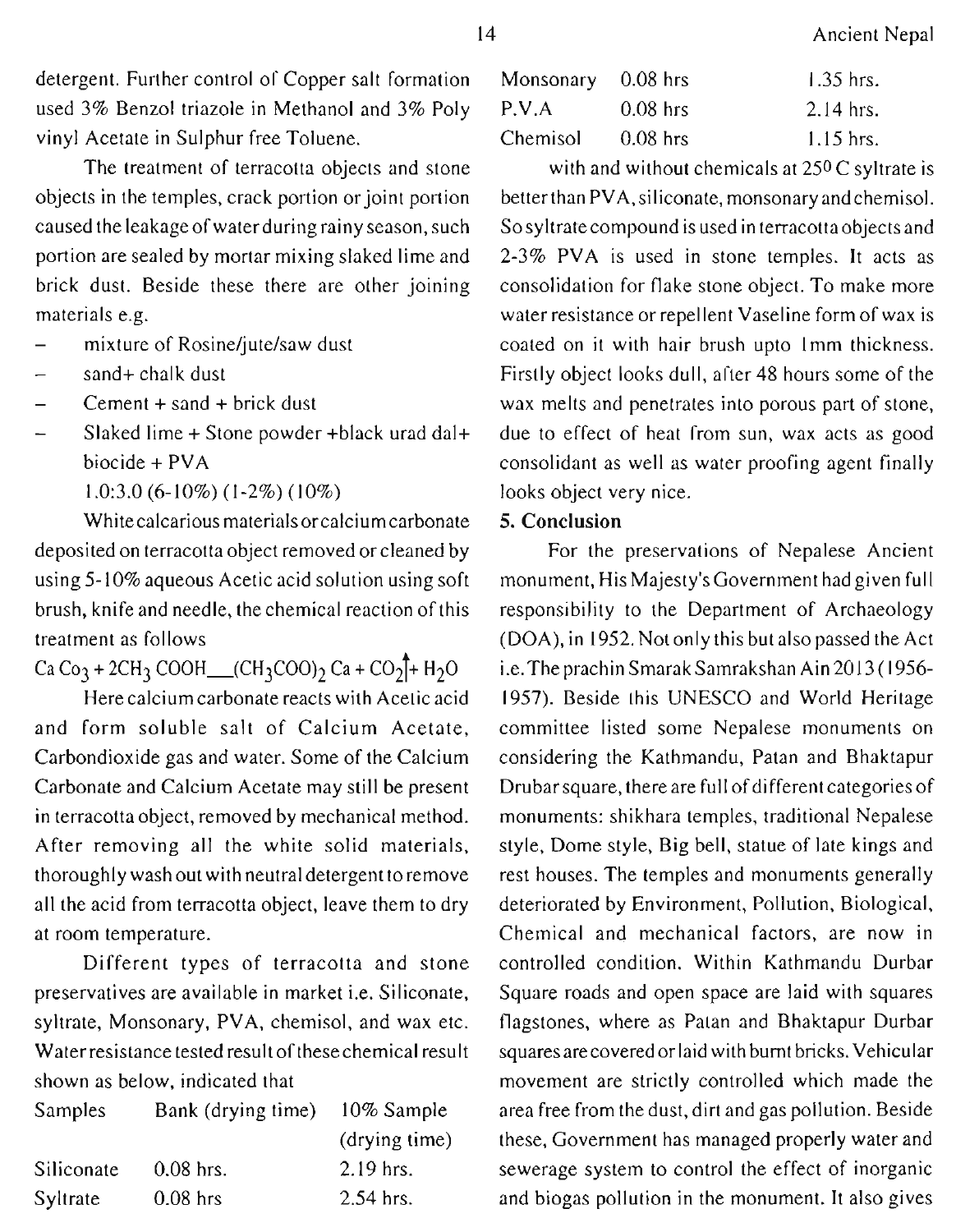detergent. Further control of Copper salt formation used 3% Benzol triazole in Methanol and 3% Poly vinyl Acetate in Sulphur free Toluene.

The treatment of terracotta objects and stone objects in the temples, crack portion or joint portion caused the leakage of water during rainy season, such portion are sealed by mortar mixing slaked lime and brick dust. Beside these there are other joining materials e.g.

- mixture of Rosine/jute/saw dust
- sand+ chalk dust
- $Cement + sand + brick$  dust
- Slaked lime + Stone powder +black urad dal+ biocide + PVA

1.0:3.0 (6-10%) (1-2%) (10%)

Whitecalcarious materials orcalcium carbonate deposited on terracotta object removed or cleaned by using 5-10% aqueous Acetic acid solution using soft brush, knife and needle, the chemical reaction of this treatment as follows

 $Ca Co<sub>3</sub> + 2CH<sub>3</sub> COOH$  (CH<sub>3</sub>COO)<sub>2</sub> Ca + CO<sub>2</sub><sup>+</sup> H<sub>2</sub>O

Here calcium carbonate reacts with Acetic acid and form soluble salt of Calcium Acetate, Carbondioxide gas and water. Some of the Calcium Carbonate and Calcium Acetate may still be present in terracotta object, removed by mechanical method. After removing all the white solid materials, thoroughly wash out with neutral detergent toremove all the acid from terracotta object, leave them to dry at room temperature.

Different types of terracotta and stone preservatives are available in market i.e. Siliconate, syltrate, Monsonary, PVA, chemisol, and wax etc. Water resistance tested result of these chemical result shown as below, indicated that

| <b>Samples</b>  | Bank (drying time) | 10% Sample    |
|-----------------|--------------------|---------------|
|                 |                    | (drying time) |
| Siliconate      | $0.08$ hrs.        | $2.19$ hrs.   |
| <b>Syltrate</b> | $0.08$ hrs         | 2.54 hrs.     |

| Monsonary 0.08 hrs |            | $1.35$ hrs. |
|--------------------|------------|-------------|
| P.V.A              | $0.08$ hrs | $2.14$ hrs. |
| Chemisol           | $0.08$ hrs | $1.15$ hrs. |

with and without chemicals at 250 C syltrate is betterthan PVA,siliconate, monsonary and chemisol. So syltrate compound is used in terracotta objects and 2-3% PVA is used in stone temples. It acts as consolidation for flake stone object. To make more water resistance or repellent Vaseline form of wax is coated on it with hair brush upto Imm thickness. Firstly object looks dull, after 48 hours some of the wax melts and penetrates into porous part of stone, due to effect of heat from sun, wax acts as good consolidant as well as water proofing agent finally looks object very nice.

### 5. **Conclusion**

For the preservations of Nepalese Ancient monument, His Majesty's Government had given full responsibility to the Department of Archaeology (DOA), in 1952. Not only this but also passed the Act **i.e.TheprachinSmarakSamrakshan** Ain2013 (1956- 1957). Beside this UNESCO and World Heritage committee listed some Nepalese monuments on considering the Kathmandu, Patan and Bhaktapur Drubar square, there are full of different categories of monuments: shikhara temples, traditional Nepalese style, Dome style, Big bell, statue of late kings and rest houses. The temples and monuments generally deteriorated by Environment, Pollution, Biological, Chemical and mechanical factors, are now in controlled condition. Within Kathmandu Durbar Square roads and open space are laid with squares flagstones, where as Patan and Bhaktapur Durbar squares are coveredor laid with burnt bricks. Vehicular movement are strictly controlled which made the area free from the dust, dirt and gas pollution. Beside these, Government has managed properly water and sewerage system to control the effect of inorganic and biogas pollution in the monument. It also gives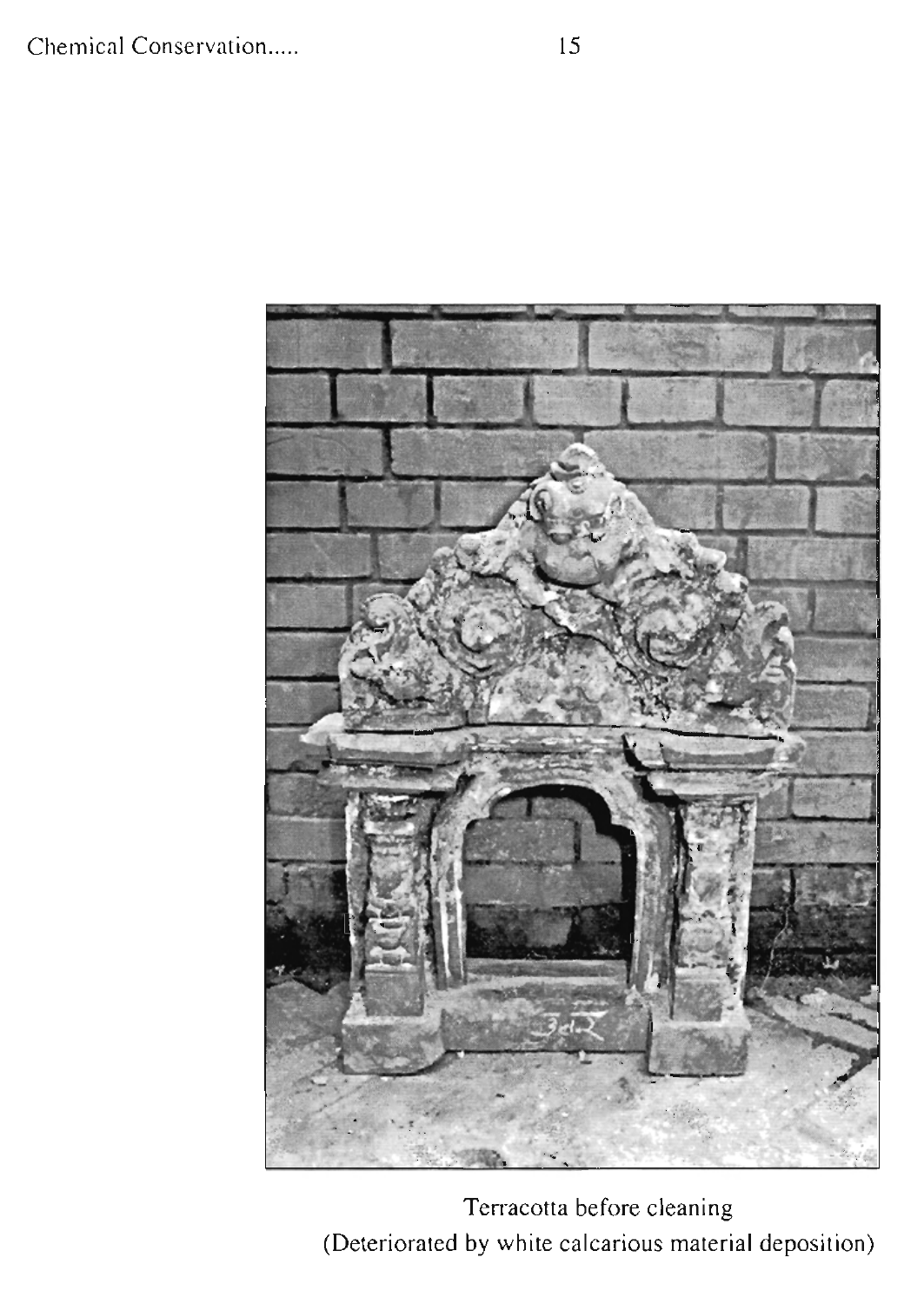

Terracotta before cleaning (Deteriorated by white calcarious material deposition)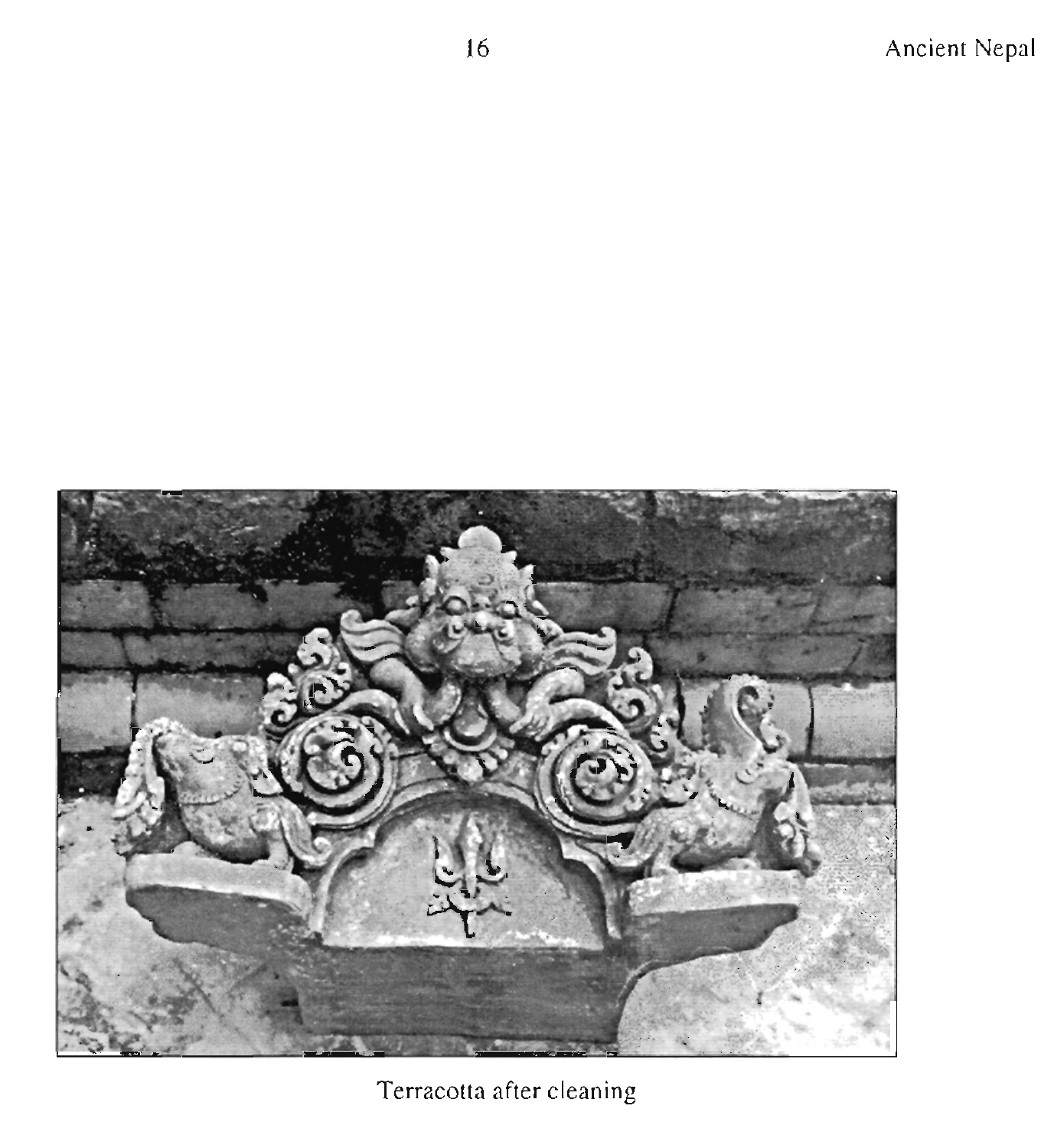



Terracotta after cleaning